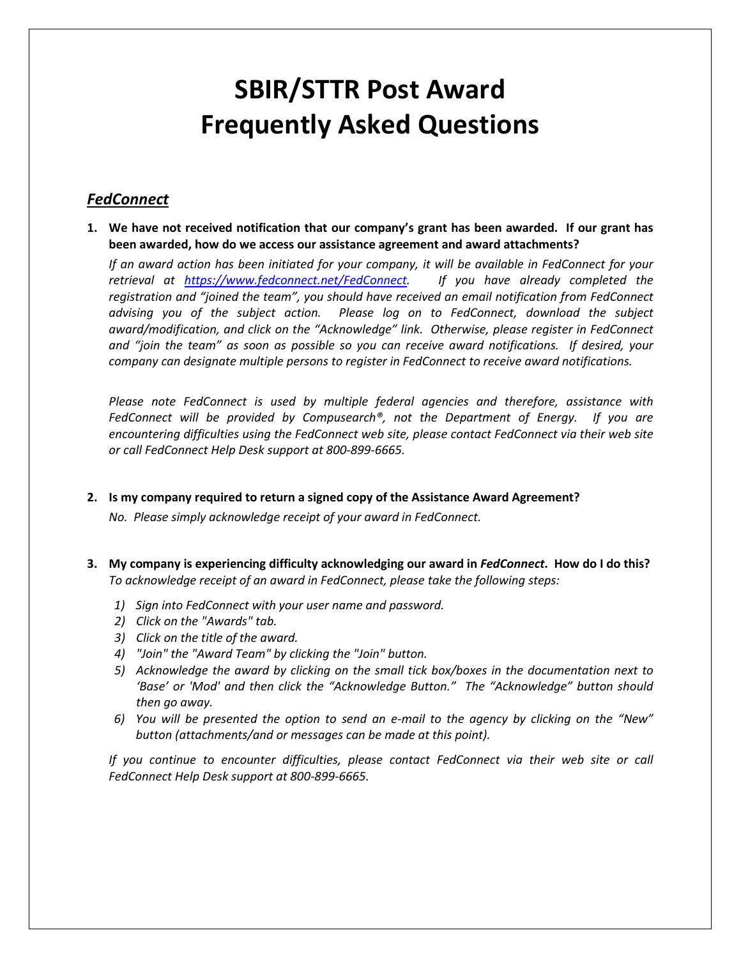# **SBIR/STTR Post Award Frequently Asked Questions**

## *FedConnect*

**1. We have not received notification that our company's grant has been awarded. If our grant has been awarded, how do we access our assistance agreement and award attachments?**

*If an award action has been initiated for your company, it will be available in FedConnect for your retrieval at [https://www.fedconnect.net/FedConnect.](https://www.fedconnect.net/FedConnect) If you have already completed the registration and "joined the team", you should have received an email notification from FedConnect advising you of the subject action. Please log on to FedConnect, download the subject award/modification, and click on the "Acknowledge" link. Otherwise, please register in FedConnect and "join the team" as soon as possible so you can receive award notifications. If desired, your company can designate multiple persons to register in FedConnect to receive award notifications.*

*Please note FedConnect is used by multiple federal agencies and therefore, assistance with FedConnect will be provided by Compusearch®, not the Department of Energy. If you are encountering difficulties using the FedConnect web site, please contact FedConnect via their web site or call FedConnect Help Desk support at 800-899-6665.*

#### **2. Is my company required to return a signed copy of the Assistance Award Agreement?**

*No. Please simply acknowledge receipt of your award in FedConnect.*

- **3. My company is experiencing difficulty acknowledging our award in** *FedConnect***. How do I do this?** *To acknowledge receipt of an award in FedConnect, please take the following steps:*
	- *1) Sign into FedConnect with your user name and password.*
	- *2) Click on the "Awards" tab.*
	- *3) Click on the title of the award.*
	- *4) "Join" the "Award Team" by clicking the "Join" button.*
	- *5) Acknowledge the award by clicking on the small tick box/boxes in the documentation next to 'Base' or 'Mod' and then click the "Acknowledge Button." The "Acknowledge" button should then go away.*
	- *6) You will be presented the option to send an e-mail to the agency by clicking on the "New" button (attachments/and or messages can be made at this point).*

*If you continue to encounter difficulties, please contact FedConnect via their web site or call FedConnect Help Desk support at 800-899-6665.*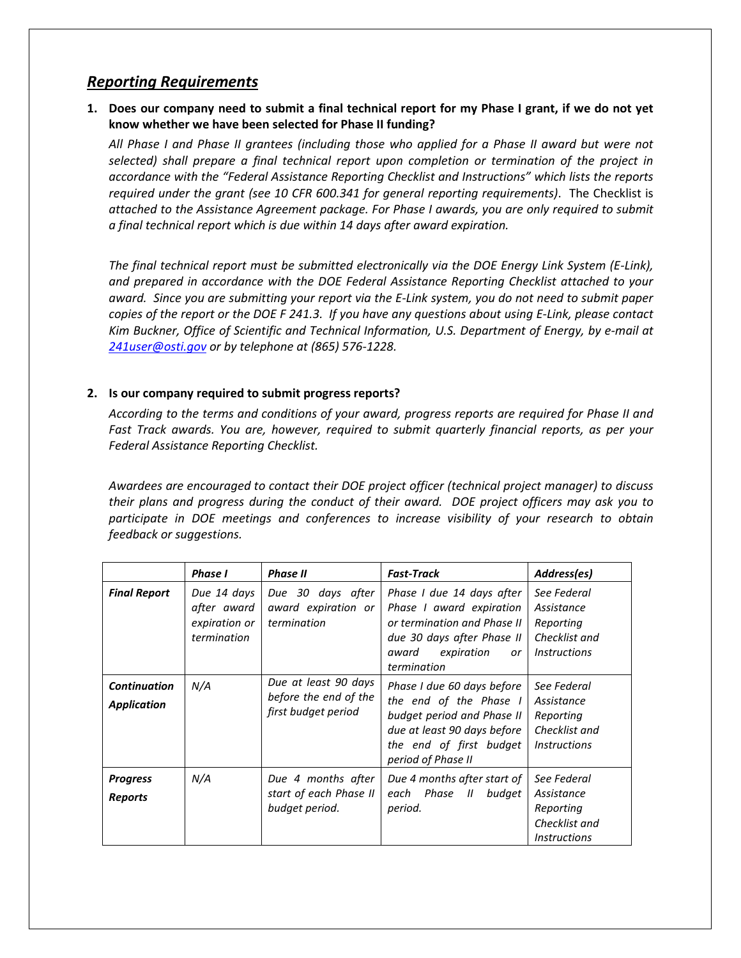## *Reporting Requirements*

## **1. Does our company need to submit a final technical report for my Phase I grant, if we do not yet know whether we have been selected for Phase II funding?**

*All Phase I and Phase II grantees (including those who applied for a Phase II award but were not selected) shall prepare a final technical report upon completion or termination of the project in accordance with the "Federal Assistance Reporting Checklist and Instructions" which lists the reports required under the grant (see 10 CFR 600.341 for general reporting requirements)*. The Checklist is *attached to the Assistance Agreement package. For Phase I awards, you are only required to submit a final technical report which is due within 14 days after award expiration.* 

*The final technical report must be submitted electronically via the DOE Energy Link System (E-Link), and prepared in accordance with the DOE Federal Assistance Reporting Checklist attached to your award. Since you are submitting your report via the E-Link system, you do not need to submit paper copies of the report or the DOE F 241.3. If you have any questions about using E-Link, please contact Kim Buckner, Office of Scientific and Technical Information, U.S. Department of Energy, by e-mail at [241user@osti.gov](mailto:241user@osti.gov) or by telephone at (865) 576-1228.*

#### **2. Is our company required to submit progress reports?**

*According to the terms and conditions of your award, progress reports are required for Phase II and Fast Track awards. You are, however, required to submit quarterly financial reports, as per your Federal Assistance Reporting Checklist.*

*Awardees are encouraged to contact their DOE project officer (technical project manager) to discuss their plans and progress during the conduct of their award. DOE project officers may ask you to*  participate in DOE meetings and conferences to increase visibility of your research to obtain *feedback or suggestions.* 

|                                           | <b>Phase I</b>                                             | <b>Phase II</b>                                                      | <b>Fast-Track</b>                                                                                                                                                  | Address(es)                                                                                  |
|-------------------------------------------|------------------------------------------------------------|----------------------------------------------------------------------|--------------------------------------------------------------------------------------------------------------------------------------------------------------------|----------------------------------------------------------------------------------------------|
| <b>Final Report</b>                       | Due 14 days<br>after award<br>expiration or<br>termination | Due 30 days after<br>award expiration or<br>termination              | Phase I due 14 days after<br>Phase I award expiration<br>or termination and Phase II<br>due 30 days after Phase II<br>award<br>expiration<br>or<br>termination     | See Federal<br>Assistance<br>Reporting<br>Checklist and<br><i><u><b>Instructions</b></u></i> |
| <b>Continuation</b><br><b>Application</b> | N/A                                                        | Due at least 90 days<br>before the end of the<br>first budget period | Phase I due 60 days before<br>the end of the Phase I<br>budget period and Phase II<br>due at least 90 days before<br>the end of first budget<br>period of Phase II | See Federal<br>Assistance<br>Reporting<br>Checklist and<br><i><u><b>Instructions</b></u></i> |
| <b>Progress</b><br><b>Reports</b>         | N/A                                                        | Due 4 months after<br>start of each Phase II<br>budget period.       | Due 4 months after start of<br>each Phase<br>$\overline{u}$<br>budaet<br>period.                                                                                   | See Federal<br>Assistance<br>Reporting<br>Checklist and<br><i><u><b>Instructions</b></u></i> |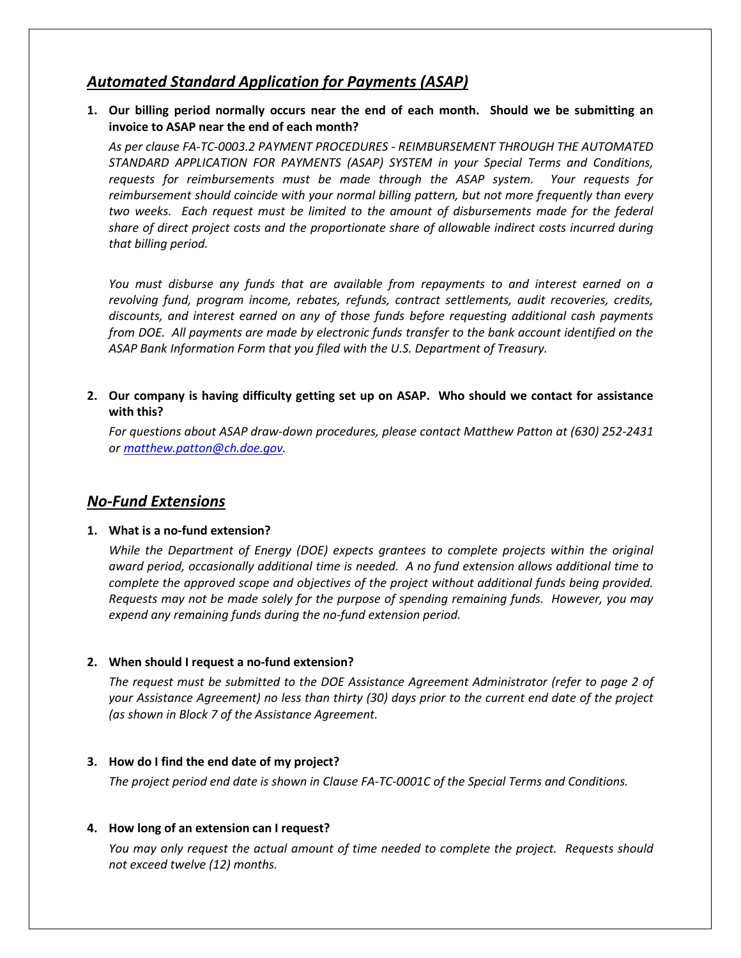# *Automated Standard Application for Payments (ASAP)*

**1. Our billing period normally occurs near the end of each month. Should we be submitting an invoice to ASAP near the end of each month?**

*As per clause FA-TC-0003.2 PAYMENT PROCEDURES - REIMBURSEMENT THROUGH THE AUTOMATED STANDARD APPLICATION FOR PAYMENTS (ASAP) SYSTEM in your Special Terms and Conditions, requests for reimbursements must be made through the ASAP system. Your requests for reimbursement should coincide with your normal billing pattern, but not more frequently than every*  two weeks. Each request must be limited to the amount of disbursements made for the federal *share of direct project costs and the proportionate share of allowable indirect costs incurred during that billing period.*

*You must disburse any funds that are available from repayments to and interest earned on a revolving fund, program income, rebates, refunds, contract settlements, audit recoveries, credits, discounts, and interest earned on any of those funds before requesting additional cash payments from DOE. All payments are made by electronic funds transfer to the bank account identified on the ASAP Bank Information Form that you filed with the U.S. Department of Treasury.*

## **2. Our company is having difficulty getting set up on ASAP. Who should we contact for assistance with this?**

*For questions about ASAP draw-down procedures, please contact Matthew Patton at (630) 252-2431 or [matthew.patton@ch.doe.gov.](mailto:matthew.patton@ch.doe.gov)*

## *No-Fund Extensions*

#### **1. What is a no-fund extension?**

*While the Department of Energy (DOE) expects grantees to complete projects within the original award period, occasionally additional time is needed. A no fund extension allows additional time to complete the approved scope and objectives of the project without additional funds being provided. Requests may not be made solely for the purpose of spending remaining funds. However, you may expend any remaining funds during the no-fund extension period.*

## **2. When should I request a no-fund extension?**

*The request must be submitted to the DOE Assistance Agreement Administrator (refer to page 2 of your Assistance Agreement) no less than thirty (30) days prior to the current end date of the project (as shown in Block 7 of the Assistance Agreement.*

#### **3. How do I find the end date of my project?**

*The project period end date is shown in Clause FA-TC-0001C of the Special Terms and Conditions.*

## **4. How long of an extension can I request?**

*You may only request the actual amount of time needed to complete the project. Requests should not exceed twelve (12) months.*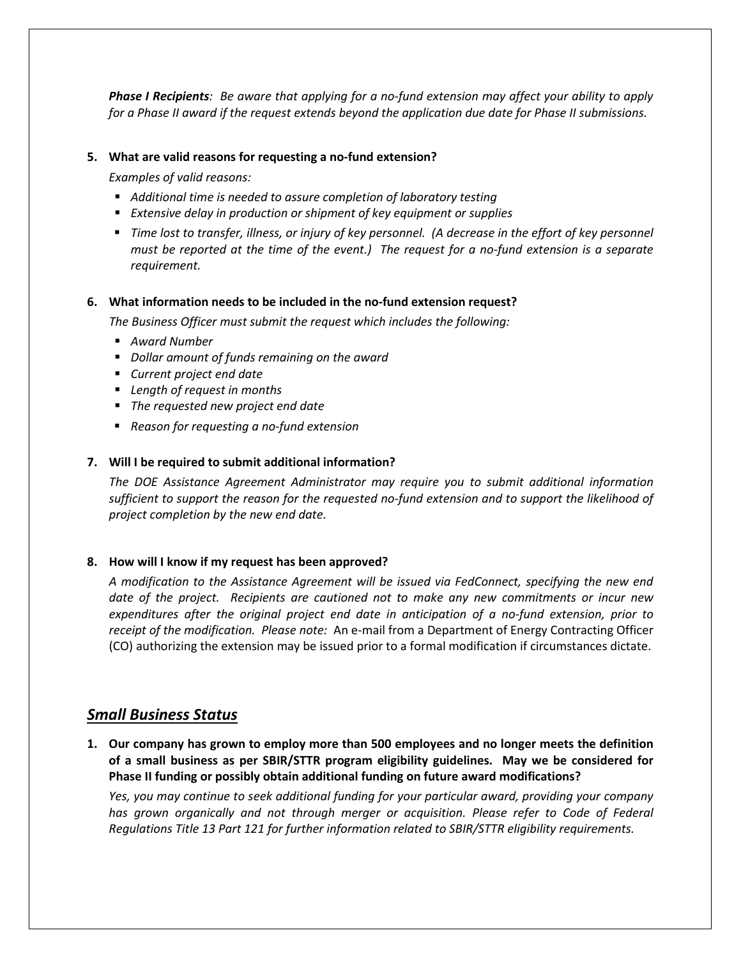*Phase I Recipients: Be aware that applying for a no-fund extension may affect your ability to apply for a Phase II award if the request extends beyond the application due date for Phase II submissions.*

#### **5. What are valid reasons for requesting a no-fund extension?**

*Examples of valid reasons:*

- *Additional time is needed to assure completion of laboratory testing*
- *Extensive delay in production or shipment of key equipment or supplies*
- **Time lost to transfer, illness, or injury of key personnel. (A decrease in the effort of key personnel <b>Filter** *must be reported at the time of the event.) The request for a no-fund extension is a separate requirement.*

#### **6. What information needs to be included in the no-fund extension request?**

*The Business Officer must submit the request which includes the following:*

- *Award Number*
- *Dollar amount of funds remaining on the award*
- *Current project end date*
- *Length of request in months*
- *The requested new project end date*
- *Reason for requesting a no-fund extension*

#### **7. Will I be required to submit additional information?**

*The DOE Assistance Agreement Administrator may require you to submit additional information sufficient to support the reason for the requested no-fund extension and to support the likelihood of project completion by the new end date.*

#### **8. How will I know if my request has been approved?**

*A modification to the Assistance Agreement will be issued via FedConnect, specifying the new end date of the project. Recipients are cautioned not to make any new commitments or incur new expenditures after the original project end date in anticipation of a no-fund extension, prior to receipt of the modification. Please note:* An e-mail from a Department of Energy Contracting Officer (CO) authorizing the extension may be issued prior to a formal modification if circumstances dictate.

## *Small Business Status*

**1. Our company has grown to employ more than 500 employees and no longer meets the definition of a small business as per SBIR/STTR program eligibility guidelines. May we be considered for Phase II funding or possibly obtain additional funding on future award modifications?**

*Yes, you may continue to seek additional funding for your particular award, providing your company has grown organically and not through merger or acquisition. Please refer to Code of Federal Regulations Title 13 Part 121 for further information related to SBIR/STTR eligibility requirements.*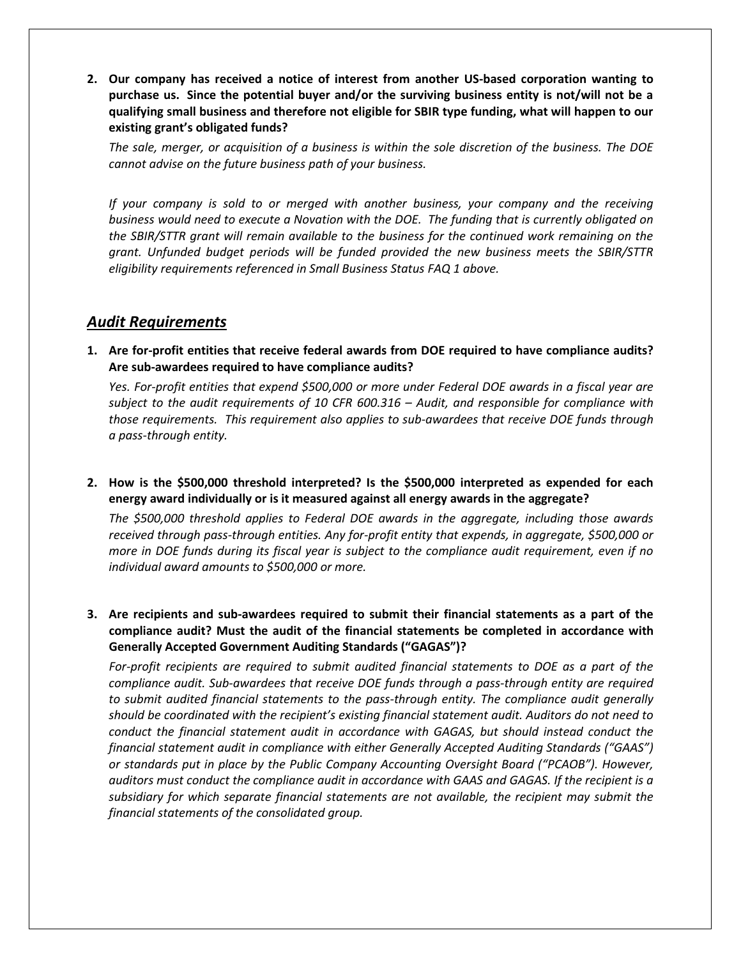**2. Our company has received a notice of interest from another US-based corporation wanting to purchase us. Since the potential buyer and/or the surviving business entity is not/will not be a qualifying small business and therefore not eligible for SBIR type funding, what will happen to our existing grant's obligated funds?**

*The sale, merger, or acquisition of a business is within the sole discretion of the business. The DOE cannot advise on the future business path of your business.*

*If your company is sold to or merged with another business, your company and the receiving business would need to execute a Novation with the DOE. The funding that is currently obligated on the SBIR/STTR grant will remain available to the business for the continued work remaining on the grant. Unfunded budget periods will be funded provided the new business meets the SBIR/STTR eligibility requirements referenced in Small Business Status FAQ 1 above.*

## *Audit Requirements*

**1. Are for-profit entities that receive federal awards from DOE required to have compliance audits? Are sub-awardees required to have compliance audits?**

*Yes. For-profit entities that expend \$500,000 or more under Federal DOE awards in a fiscal year are subject to the audit requirements of 10 CFR 600.316 – Audit, and responsible for compliance with those requirements. This requirement also applies to sub-awardees that receive DOE funds through a pass-through entity.*

**2. How is the \$500,000 threshold interpreted? Is the \$500,000 interpreted as expended for each energy award individually or is it measured against all energy awards in the aggregate?**

*The \$500,000 threshold applies to Federal DOE awards in the aggregate, including those awards received through pass-through entities. Any for-profit entity that expends, in aggregate, \$500,000 or more in DOE funds during its fiscal year is subject to the compliance audit requirement, even if no individual award amounts to \$500,000 or more.*

**3. Are recipients and sub-awardees required to submit their financial statements as a part of the compliance audit? Must the audit of the financial statements be completed in accordance with Generally Accepted Government Auditing Standards ("GAGAS")?**

*For-profit recipients are required to submit audited financial statements to DOE as a part of the compliance audit. Sub-awardees that receive DOE funds through a pass-through entity are required to submit audited financial statements to the pass-through entity. The compliance audit generally should be coordinated with the recipient's existing financial statement audit. Auditors do not need to*  conduct the financial statement audit in accordance with GAGAS, but should instead conduct the *financial statement audit in compliance with either Generally Accepted Auditing Standards ("GAAS") or standards put in place by the Public Company Accounting Oversight Board ("PCAOB"). However, auditors must conduct the compliance audit in accordance with GAAS and GAGAS. If the recipient is a subsidiary for which separate financial statements are not available, the recipient may submit the financial statements of the consolidated group.*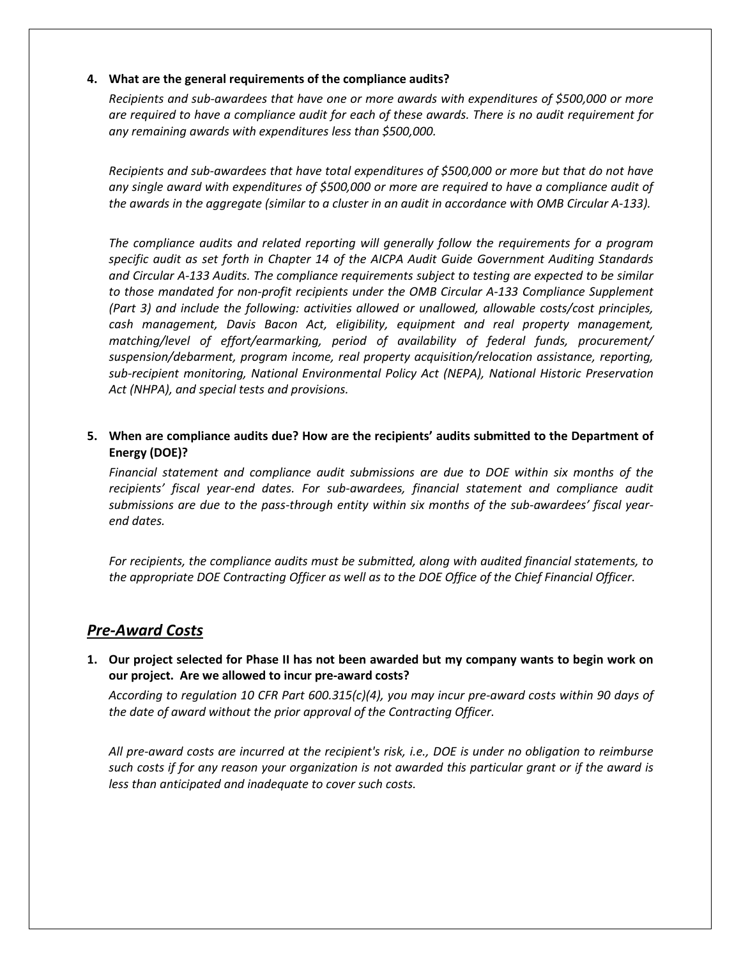#### **4. What are the general requirements of the compliance audits?**

*Recipients and sub-awardees that have one or more awards with expenditures of \$500,000 or more are required to have a compliance audit for each of these awards. There is no audit requirement for any remaining awards with expenditures less than \$500,000.*

*Recipients and sub-awardees that have total expenditures of \$500,000 or more but that do not have any single award with expenditures of \$500,000 or more are required to have a compliance audit of the awards in the aggregate (similar to a cluster in an audit in accordance with OMB Circular A-133).*

*The compliance audits and related reporting will generally follow the requirements for a program specific audit as set forth in Chapter 14 of the AICPA Audit Guide Government Auditing Standards and Circular A-133 Audits. The compliance requirements subject to testing are expected to be similar to those mandated for non-profit recipients under the OMB Circular A-133 Compliance Supplement (Part 3) and include the following: activities allowed or unallowed, allowable costs/cost principles, cash management, Davis Bacon Act, eligibility, equipment and real property management, matching/level of effort/earmarking, period of availability of federal funds, procurement/ suspension/debarment, program income, real property acquisition/relocation assistance, reporting, sub-recipient monitoring, National Environmental Policy Act (NEPA), National Historic Preservation Act (NHPA), and special tests and provisions.*

**5. When are compliance audits due? How are the recipients' audits submitted to the Department of Energy (DOE)?**

*Financial statement and compliance audit submissions are due to DOE within six months of the recipients' fiscal year-end dates. For sub-awardees, financial statement and compliance audit submissions are due to the pass-through entity within six months of the sub-awardees' fiscal yearend dates.* 

*For recipients, the compliance audits must be submitted, along with audited financial statements, to the appropriate DOE Contracting Officer as well as to the DOE Office of the Chief Financial Officer.* 

## *Pre-Award Costs*

**1. Our project selected for Phase II has not been awarded but my company wants to begin work on our project. Are we allowed to incur pre-award costs?**

*According to regulation 10 CFR Part 600.315(c)(4), you may incur pre-award costs within 90 days of the date of award without the prior approval of the Contracting Officer.* 

*All pre-award costs are incurred at the recipient's risk, i.e., DOE is under no obligation to reimburse such costs if for any reason your organization is not awarded this particular grant or if the award is less than anticipated and inadequate to cover such costs.*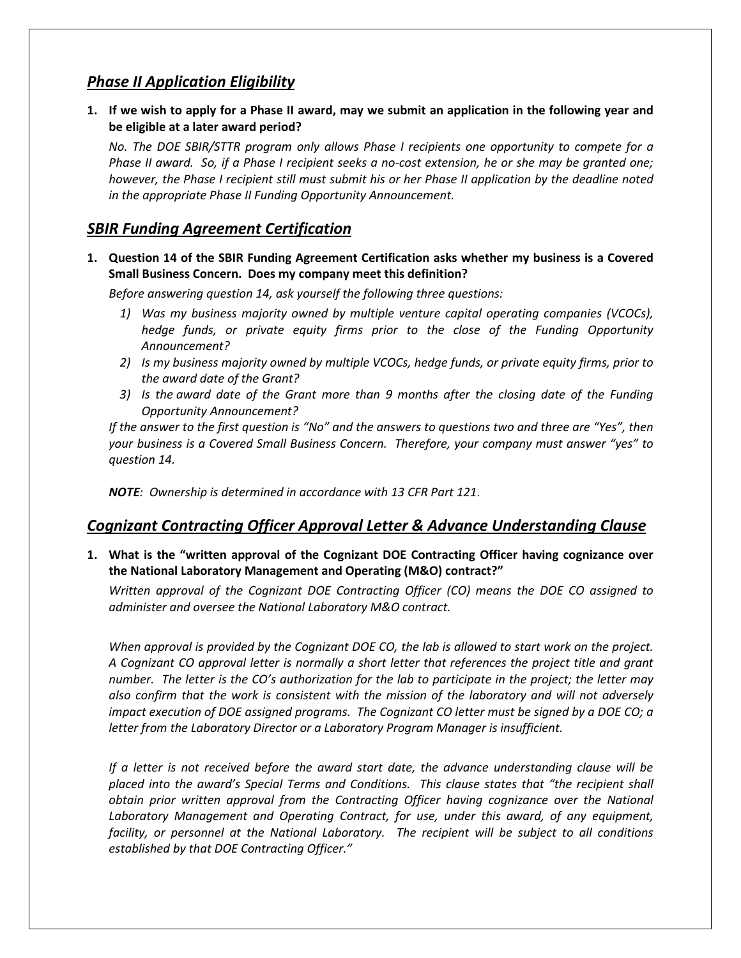# *Phase II Application Eligibility*

**1. If we wish to apply for a Phase II award, may we submit an application in the following year and be eligible at a later award period?**

*No. The DOE SBIR/STTR program only allows Phase I recipients one opportunity to compete for a Phase II award. So, if a Phase I recipient seeks a no-cost extension, he or she may be granted one; however, the Phase I recipient still must submit his or her Phase II application by the deadline noted in the appropriate Phase II Funding Opportunity Announcement.*

# *SBIR Funding Agreement Certification*

**1. Question 14 of the SBIR Funding Agreement Certification asks whether my business is a Covered Small Business Concern. Does my company meet this definition?**

*Before answering question 14, ask yourself the following three questions:*

- *1) Was my business majority owned by multiple venture capital operating companies (VCOCs), hedge funds, or private equity firms prior to the close of the Funding Opportunity Announcement?*
- *2) Is my business majority owned by multiple VCOCs, hedge funds, or private equity firms, prior to the award date of the Grant?*
- *3) Is the award date of the Grant more than 9 months after the closing date of the Funding Opportunity Announcement?*

*If the answer to the first question is "No" and the answers to questions two and three are "Yes", then your business is a Covered Small Business Concern. Therefore, your company must answer "yes" to question 14.*

*NOTE: Ownership is determined in accordance with 13 CFR Part 121*.

# *Cognizant Contracting Officer Approval Letter & Advance Understanding Clause*

**1. What is the "written approval of the Cognizant DOE Contracting Officer having cognizance over the National Laboratory Management and Operating (M&O) contract?"**

*Written approval of the Cognizant DOE Contracting Officer (CO) means the DOE CO assigned to administer and oversee the National Laboratory M&O contract.* 

*When approval is provided by the Cognizant DOE CO, the lab is allowed to start work on the project. A Cognizant CO approval letter is normally a short letter that references the project title and grant number. The letter is the CO's authorization for the lab to participate in the project; the letter may also confirm that the work is consistent with the mission of the laboratory and will not adversely impact execution of DOE assigned programs. The Cognizant CO letter must be signed by a DOE CO; a letter from the Laboratory Director or a Laboratory Program Manager is insufficient.*

*If a letter is not received before the award start date, the advance understanding clause will be placed into the award's Special Terms and Conditions. This clause states that "the recipient shall obtain prior written approval from the Contracting Officer having cognizance over the National*  Laboratory Management and Operating Contract, for use, under this award, of any equipment, *facility, or personnel at the National Laboratory. The recipient will be subject to all conditions established by that DOE Contracting Officer."*